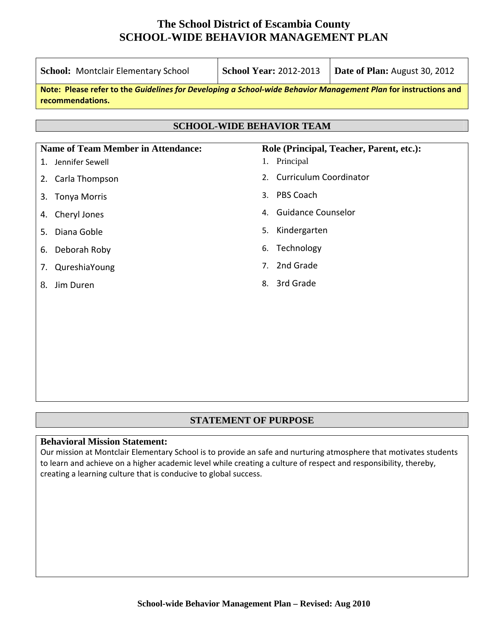## **The School District of Escambia County SCHOOL-WIDE BEHAVIOR MANAGEMENT PLAN**

| School: Montclair Elementary School                                                                                                 | <b>School Year: 2012-2013</b>       | Date of Plan: August 30, 2012            |
|-------------------------------------------------------------------------------------------------------------------------------------|-------------------------------------|------------------------------------------|
| Note: Please refer to the Guidelines for Developing a School-wide Behavior Management Plan for instructions and<br>recommendations. |                                     |                                          |
|                                                                                                                                     | <b>SCHOOL-WIDE BEHAVIOR TEAM</b>    |                                          |
|                                                                                                                                     |                                     |                                          |
| <b>Name of Team Member in Attendance:</b>                                                                                           |                                     | Role (Principal, Teacher, Parent, etc.): |
| Jennifer Sewell<br>1.                                                                                                               | 1. Principal                        |                                          |
| Carla Thompson<br>2.                                                                                                                | <b>Curriculum Coordinator</b><br>2. |                                          |
| <b>Tonya Morris</b><br>3.                                                                                                           | PBS Coach<br>3.                     |                                          |
| Cheryl Jones<br>4.                                                                                                                  | <b>Guidance Counselor</b><br>4.     |                                          |
| Diana Goble<br>5.                                                                                                                   | Kindergarten<br>5.                  |                                          |
| Deborah Roby<br>6.                                                                                                                  | Technology<br>6.                    |                                          |
| QureshiaYoung<br>7.                                                                                                                 | 2nd Grade<br>7 <sub>1</sub>         |                                          |
| Jim Duren<br>8.                                                                                                                     | 3rd Grade<br>8.                     |                                          |
|                                                                                                                                     |                                     |                                          |
|                                                                                                                                     |                                     |                                          |
|                                                                                                                                     |                                     |                                          |
|                                                                                                                                     |                                     |                                          |
|                                                                                                                                     |                                     |                                          |

### **STATEMENT OF PURPOSE**

#### **Behavioral Mission Statement:**

Our mission at Montclair Elementary School is to provide an safe and nurturing atmosphere that motivates students to learn and achieve on a higher academic level while creating a culture of respect and responsibility, thereby, creating a learning culture that is conducive to global success.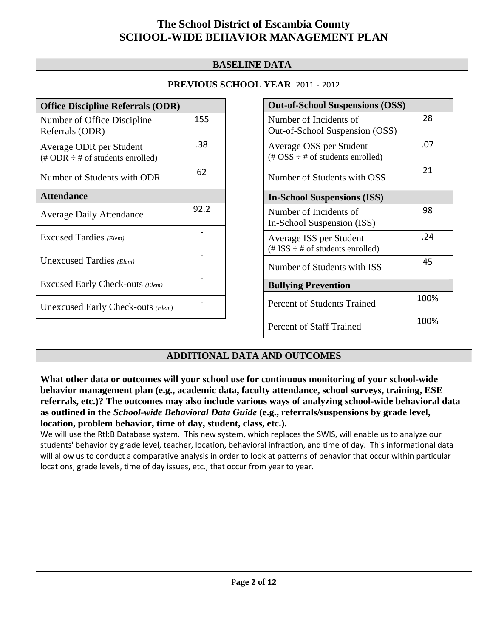## **The School District of Escambia County SCHOOL-WIDE BEHAVIOR MANAGEMENT PLAN**

### **BASELINE DATA**

| <b>Office Discipline Referrals (ODR)</b>                                         |      |  |
|----------------------------------------------------------------------------------|------|--|
| Number of Office Discipline<br>Referrals (ODR)                                   | 155  |  |
| Average ODR per Student<br>$(\text{\# ODR} \div \text{\# of students enrolled})$ | .38  |  |
| Number of Students with ODR                                                      | 62   |  |
| <b>Attendance</b>                                                                |      |  |
| <b>Average Daily Attendance</b>                                                  | 92.2 |  |
| Excused Tardies (Elem)                                                           |      |  |
| Unexcused Tardies (Elem)                                                         |      |  |
| Excused Early Check-outs (Elem)                                                  |      |  |
| Unexcused Early Check-outs (Elem)                                                |      |  |

| <b>Out-of-School Suspensions (OSS)</b>                                                          |      |  |
|-------------------------------------------------------------------------------------------------|------|--|
| Number of Incidents of<br>Out-of-School Suspension (OSS)                                        | 28   |  |
| Average OSS per Student<br>$(\text{\#} \text{OSS} \div \text{\#} \text{ of students enrolled})$ | .07  |  |
| Number of Students with OSS                                                                     | 21   |  |
| <b>In-School Suspensions (ISS)</b>                                                              |      |  |
| Number of Incidents of<br>In-School Suspension (ISS)                                            | 98   |  |
| Average ISS per Student<br>$(\text{\# ISS} \div \text{\# of students enrolled})$                | .24  |  |
| Number of Students with ISS                                                                     | 45   |  |
| <b>Bullying Prevention</b>                                                                      |      |  |
| Percent of Students Trained                                                                     | 100% |  |
| <b>Percent of Staff Trained</b>                                                                 | 100% |  |

### **ADDITIONAL DATA AND OUTCOMES**

**What other data or outcomes will your school use for continuous monitoring of your school-wide behavior management plan (e.g., academic data, faculty attendance, school surveys, training, ESE referrals, etc.)? The outcomes may also include various ways of analyzing school-wide behavioral data as outlined in the** *School-wide Behavioral Data Guide* **(e.g., referrals/suspensions by grade level, location, problem behavior, time of day, student, class, etc.).** 

We will use the RtI:B Database system. This new system, which replaces the SWIS, will enable us to analyze our students' behavior by grade level, teacher, location, behavioral infraction, and time of day. This informational data will allow us to conduct a comparative analysis in order to look at patterns of behavior that occur within particular locations, grade levels, time of day issues, etc., that occur from year to year.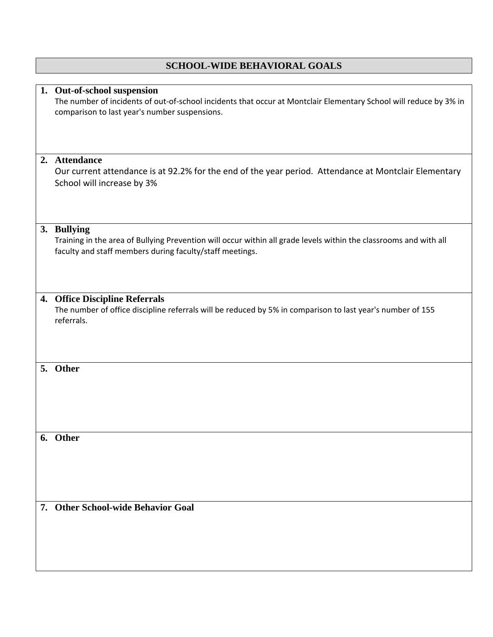|    | <b>SCHOOL-WIDE BEHAVIORAL GOALS</b>                                                                                                                                                               |
|----|---------------------------------------------------------------------------------------------------------------------------------------------------------------------------------------------------|
|    |                                                                                                                                                                                                   |
|    | 1. Out-of-school suspension<br>The number of incidents of out-of-school incidents that occur at Montclair Elementary School will reduce by 3% in<br>comparison to last year's number suspensions. |
|    | 2. Attendance                                                                                                                                                                                     |
|    | Our current attendance is at 92.2% for the end of the year period. Attendance at Montclair Elementary<br>School will increase by 3%                                                               |
|    | 3. Bullying<br>Training in the area of Bullying Prevention will occur within all grade levels within the classrooms and with all<br>faculty and staff members during faculty/staff meetings.      |
|    | 4. Office Discipline Referrals<br>The number of office discipline referrals will be reduced by 5% in comparison to last year's number of 155<br>referrals.                                        |
| 5. | Other                                                                                                                                                                                             |
|    | 6. Other                                                                                                                                                                                          |
|    | 7. Other School-wide Behavior Goal                                                                                                                                                                |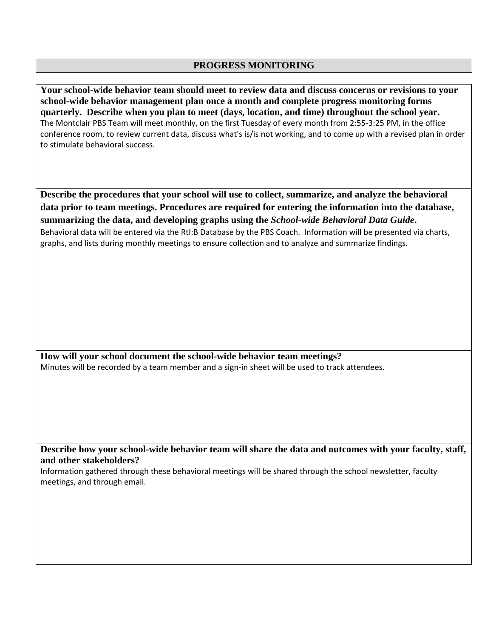#### **PROGRESS MONITORING**

**Your school-wide behavior team should meet to review data and discuss concerns or revisions to your school-wide behavior management plan once a month and complete progress monitoring forms quarterly. Describe when you plan to meet (days, location, and time) throughout the school year.**  The Montclair PBS Team will meet monthly, on the first Tuesday of every month from 2:55‐3:25 PM, in the office conference room, to review current data, discuss what's is/is not working, and to come up with a revised plan in order to stimulate behavioral success.

**Describe the procedures that your school will use to collect, summarize, and analyze the behavioral data prior to team meetings. Procedures are required for entering the information into the database, summarizing the data, and developing graphs using the** *School-wide Behavioral Data Guide***.**  Behavioral data will be entered via the RtI:B Database by the PBS Coach. Information will be presented via charts, graphs, and lists during monthly meetings to ensure collection and to analyze and summarize findings.

**How will your school document the school-wide behavior team meetings?**  Minutes will be recorded by a team member and a sign-in sheet will be used to track attendees.

**Describe how your school-wide behavior team will share the data and outcomes with your faculty, staff, and other stakeholders?** 

Information gathered through these behavioral meetings will be shared through the school newsletter, faculty meetings, and through email.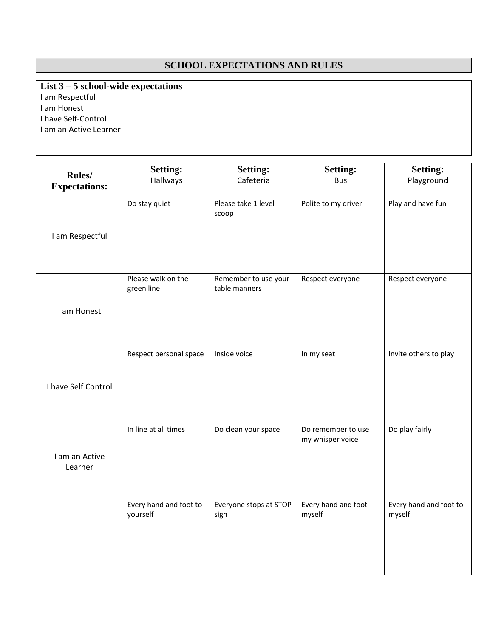### **SCHOOL EXPECTATIONS AND RULES**

**List 3 – 5 school-wide expectations**  I am Respectful I am Honest I have Self‐Control I am an Active Learner

| Rules/<br><b>Expectations:</b> | <b>Setting:</b><br>Hallways        | <b>Setting:</b><br>Cafeteria          | <b>Setting:</b><br><b>Bus</b>          | <b>Setting:</b><br>Playground    |
|--------------------------------|------------------------------------|---------------------------------------|----------------------------------------|----------------------------------|
| I am Respectful                | Do stay quiet                      | Please take 1 level<br>scoop          | Polite to my driver                    | Play and have fun                |
| I am Honest                    | Please walk on the<br>green line   | Remember to use your<br>table manners | Respect everyone                       | Respect everyone                 |
| I have Self Control            | Respect personal space             | Inside voice                          | In my seat                             | Invite others to play            |
| I am an Active<br>Learner      | In line at all times               | Do clean your space                   | Do remember to use<br>my whisper voice | Do play fairly                   |
|                                | Every hand and foot to<br>yourself | Everyone stops at STOP<br>sign        | Every hand and foot<br>myself          | Every hand and foot to<br>myself |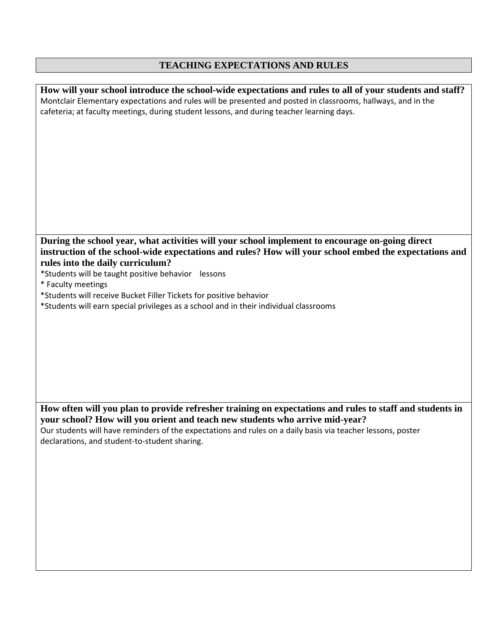# **TEACHING EXPECTATIONS AND RULES**

| How will your school introduce the school-wide expectations and rules to all of your students and staff?     |
|--------------------------------------------------------------------------------------------------------------|
| Montclair Elementary expectations and rules will be presented and posted in classrooms, hallways, and in the |
| cafeteria; at faculty meetings, during student lessons, and during teacher learning days.                    |
|                                                                                                              |
|                                                                                                              |
|                                                                                                              |
|                                                                                                              |
|                                                                                                              |
|                                                                                                              |
|                                                                                                              |
|                                                                                                              |
|                                                                                                              |
|                                                                                                              |
|                                                                                                              |
|                                                                                                              |
| During the school year, what activities will your school implement to encourage on-going direct              |
| instruction of the school-wide expectations and rules? How will your school embed the expectations and       |
| rules into the daily curriculum?                                                                             |
| *Students will be taught positive behavior lessons                                                           |
| * Faculty meetings                                                                                           |
| *Students will receive Bucket Filler Tickets for positive behavior                                           |
| *Students will earn special privileges as a school and in their individual classrooms                        |
|                                                                                                              |
|                                                                                                              |
|                                                                                                              |
|                                                                                                              |
|                                                                                                              |
|                                                                                                              |
|                                                                                                              |
|                                                                                                              |
|                                                                                                              |
| How often will you plan to provide refresher training on expectations and rules to staff and students in     |
| your school? How will you orient and teach new students who arrive mid-year?                                 |
| Our students will have reminders of the expectations and rules on a daily basis via teacher lessons, poster  |
| declarations, and student-to-student sharing.                                                                |
|                                                                                                              |
|                                                                                                              |
|                                                                                                              |
|                                                                                                              |
|                                                                                                              |
|                                                                                                              |
|                                                                                                              |
|                                                                                                              |
|                                                                                                              |
|                                                                                                              |
|                                                                                                              |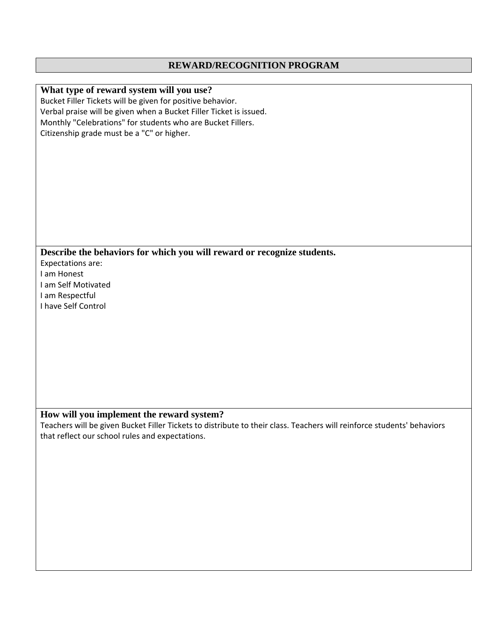#### **REWARD/RECOGNITION PROGRAM**

#### **What type of reward system will you use?**  Bucket Filler Tickets will be given for positive behavior. Verbal praise will be given when a Bucket Filler Ticket is issued. Monthly "Celebrations" for students who are Bucket Fillers. Citizenship grade must be a "C" or higher.

**Describe the behaviors for which you will reward or recognize students.** 

Expectations are: I am Honest I am Self Motivated I am Respectful I have Self Control

### **How will you implement the reward system?**

Teachers will be given Bucket Filler Tickets to distribute to their class. Teachers will reinforce students' behaviors that reflect our school rules and expectations.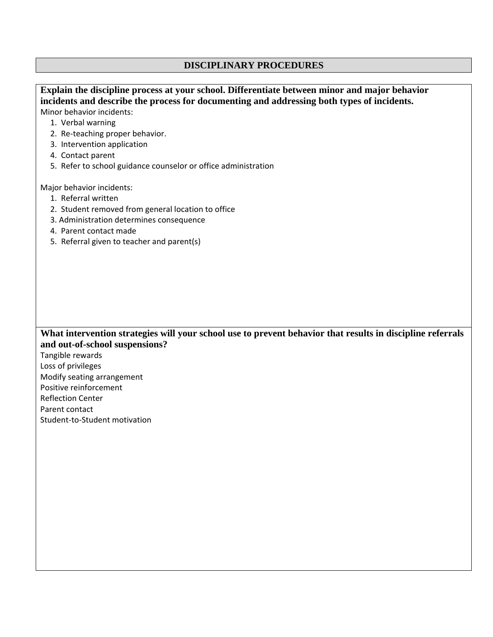### **DISCIPLINARY PROCEDURES**

| Explain the discipline process at your school. Differentiate between minor and major behavior              |
|------------------------------------------------------------------------------------------------------------|
| incidents and describe the process for documenting and addressing both types of incidents.                 |
| Minor behavior incidents:                                                                                  |
| 1. Verbal warning                                                                                          |
| 2. Re-teaching proper behavior.                                                                            |
| 3. Intervention application                                                                                |
| 4. Contact parent                                                                                          |
| 5. Refer to school guidance counselor or office administration                                             |
| Major behavior incidents:                                                                                  |
| 1. Referral written                                                                                        |
| 2. Student removed from general location to office                                                         |
| 3. Administration determines consequence                                                                   |
| 4. Parent contact made                                                                                     |
| 5. Referral given to teacher and parent(s)                                                                 |
|                                                                                                            |
|                                                                                                            |
|                                                                                                            |
|                                                                                                            |
|                                                                                                            |
|                                                                                                            |
|                                                                                                            |
| What intervention strategies will your school use to prevent behavior that results in discipline referrals |
| and out-of-school suspensions?                                                                             |
| Tangible rewards                                                                                           |
| Loss of privileges                                                                                         |
| Modify seating arrangement                                                                                 |
| Positive reinforcement                                                                                     |
| <b>Reflection Center</b>                                                                                   |
|                                                                                                            |
| Parent contact                                                                                             |

Student‐to‐Student motivation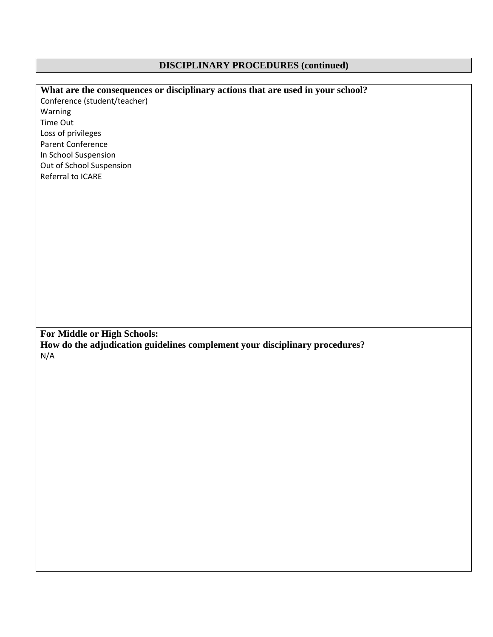# **DISCIPLINARY PROCEDURES (continued)**

| What are the consequences or disciplinary actions that are used in your school? |
|---------------------------------------------------------------------------------|
| Conference (student/teacher)                                                    |
| Warning                                                                         |
| Time Out                                                                        |
| Loss of privileges                                                              |
| <b>Parent Conference</b>                                                        |
| In School Suspension                                                            |
| Out of School Suspension                                                        |
| Referral to ICARE                                                               |
|                                                                                 |
|                                                                                 |
|                                                                                 |
|                                                                                 |
|                                                                                 |
|                                                                                 |
|                                                                                 |
|                                                                                 |
|                                                                                 |
|                                                                                 |
|                                                                                 |
|                                                                                 |
|                                                                                 |
|                                                                                 |
| For Middle or High Schools:                                                     |
| How do the adjudication guidelines complement your disciplinary procedures?     |
| N/A                                                                             |
|                                                                                 |
|                                                                                 |
|                                                                                 |
|                                                                                 |
|                                                                                 |
|                                                                                 |
|                                                                                 |
|                                                                                 |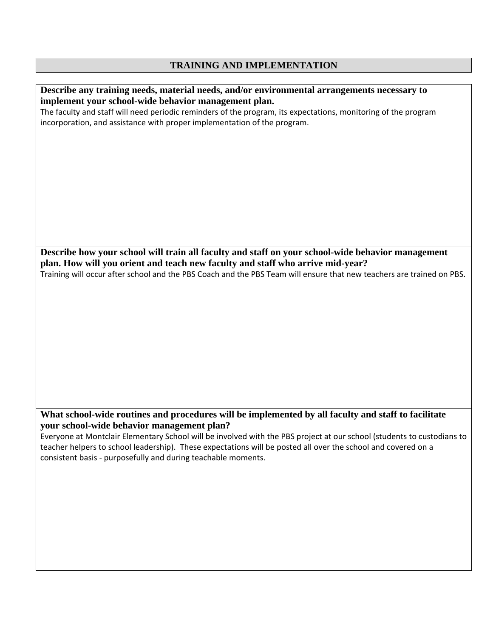# **TRAINING AND IMPLEMENTATION**

| Describe any training needs, material needs, and/or environmental arrangements necessary to                            |
|------------------------------------------------------------------------------------------------------------------------|
| implement your school-wide behavior management plan.                                                                   |
| The faculty and staff will need periodic reminders of the program, its expectations, monitoring of the program         |
| incorporation, and assistance with proper implementation of the program.                                               |
|                                                                                                                        |
|                                                                                                                        |
|                                                                                                                        |
|                                                                                                                        |
|                                                                                                                        |
|                                                                                                                        |
|                                                                                                                        |
|                                                                                                                        |
|                                                                                                                        |
|                                                                                                                        |
|                                                                                                                        |
| Describe how your school will train all faculty and staff on your school-wide behavior management                      |
| plan. How will you orient and teach new faculty and staff who arrive mid-year?                                         |
| Training will occur after school and the PBS Coach and the PBS Team will ensure that new teachers are trained on PBS.  |
|                                                                                                                        |
|                                                                                                                        |
|                                                                                                                        |
|                                                                                                                        |
|                                                                                                                        |
|                                                                                                                        |
|                                                                                                                        |
|                                                                                                                        |
|                                                                                                                        |
|                                                                                                                        |
|                                                                                                                        |
|                                                                                                                        |
| What school-wide routines and procedures will be implemented by all faculty and staff to facilitate                    |
| your school-wide behavior management plan?                                                                             |
| Everyone at Montclair Elementary School will be involved with the PBS project at our school (students to custodians to |
| teacher helpers to school leadership). These expectations will be posted all over the school and covered on a          |
| consistent basis - purposefully and during teachable moments.                                                          |
|                                                                                                                        |
|                                                                                                                        |
|                                                                                                                        |
|                                                                                                                        |
|                                                                                                                        |
|                                                                                                                        |
|                                                                                                                        |
|                                                                                                                        |
|                                                                                                                        |